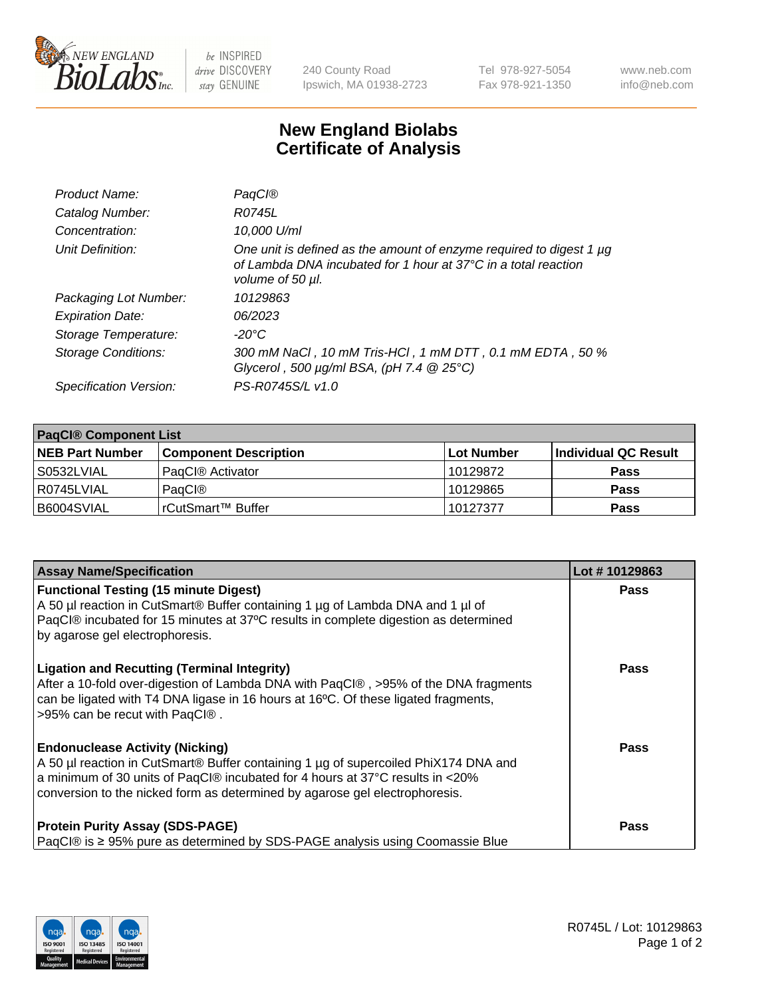

 $be$  INSPIRED drive DISCOVERY stay GENUINE

240 County Road Ipswich, MA 01938-2723 Tel 978-927-5054 Fax 978-921-1350 www.neb.com info@neb.com

## **New England Biolabs Certificate of Analysis**

| Product Name:              | PagCl®                                                                                                                                                              |
|----------------------------|---------------------------------------------------------------------------------------------------------------------------------------------------------------------|
| Catalog Number:            | R0745L                                                                                                                                                              |
| Concentration:             | 10,000 U/ml                                                                                                                                                         |
| Unit Definition:           | One unit is defined as the amount of enzyme required to digest 1 µg<br>of Lambda DNA incubated for 1 hour at $37^{\circ}$ C in a total reaction<br>volume of 50 µl. |
| Packaging Lot Number:      | 10129863                                                                                                                                                            |
| <b>Expiration Date:</b>    | 06/2023                                                                                                                                                             |
| Storage Temperature:       | -20°C                                                                                                                                                               |
| <b>Storage Conditions:</b> | 300 mM NaCl, 10 mM Tris-HCl, 1 mM DTT, 0.1 mM EDTA, 50 %<br>Glycerol, 500 $\mu$ g/ml BSA, (pH 7.4 $@25°C$ )                                                         |
| Specification Version:     | PS-R0745S/L v1.0                                                                                                                                                    |

| <b>PaqCI® Component List</b> |                              |                   |                      |  |  |
|------------------------------|------------------------------|-------------------|----------------------|--|--|
| <b>NEB Part Number</b>       | <b>Component Description</b> | <b>Lot Number</b> | Individual QC Result |  |  |
| S0532LVIAL                   | PagCl <sup>®</sup> Activator | 10129872          | <b>Pass</b>          |  |  |
| l R0745LVIAL                 | PagCl®                       | 10129865          | <b>Pass</b>          |  |  |
| B6004SVIAL                   | l rCutSmart™ Buffer          | 10127377          | <b>Pass</b>          |  |  |

| <b>Assay Name/Specification</b>                                                                                                                                                                                                                                                               | Lot #10129863 |
|-----------------------------------------------------------------------------------------------------------------------------------------------------------------------------------------------------------------------------------------------------------------------------------------------|---------------|
| <b>Functional Testing (15 minute Digest)</b><br>A 50 µl reaction in CutSmart® Buffer containing 1 µg of Lambda DNA and 1 µl of<br>PaqCl® incubated for 15 minutes at 37°C results in complete digestion as determined<br>by agarose gel electrophoresis.                                      | <b>Pass</b>   |
| <b>Ligation and Recutting (Terminal Integrity)</b><br>After a 10-fold over-digestion of Lambda DNA with PaqCl®, >95% of the DNA fragments<br>can be ligated with T4 DNA ligase in 16 hours at 16°C. Of these ligated fragments,<br>>95% can be recut with PaqCl®.                             | <b>Pass</b>   |
| <b>Endonuclease Activity (Nicking)</b><br>A 50 µl reaction in CutSmart® Buffer containing 1 µg of supercoiled PhiX174 DNA and<br>a minimum of 30 units of PaqCl® incubated for 4 hours at 37°C results in <20%<br>conversion to the nicked form as determined by agarose gel electrophoresis. | Pass          |
| <b>Protein Purity Assay (SDS-PAGE)</b><br>PaqCl® is ≥ 95% pure as determined by SDS-PAGE analysis using Coomassie Blue                                                                                                                                                                        | Pass          |